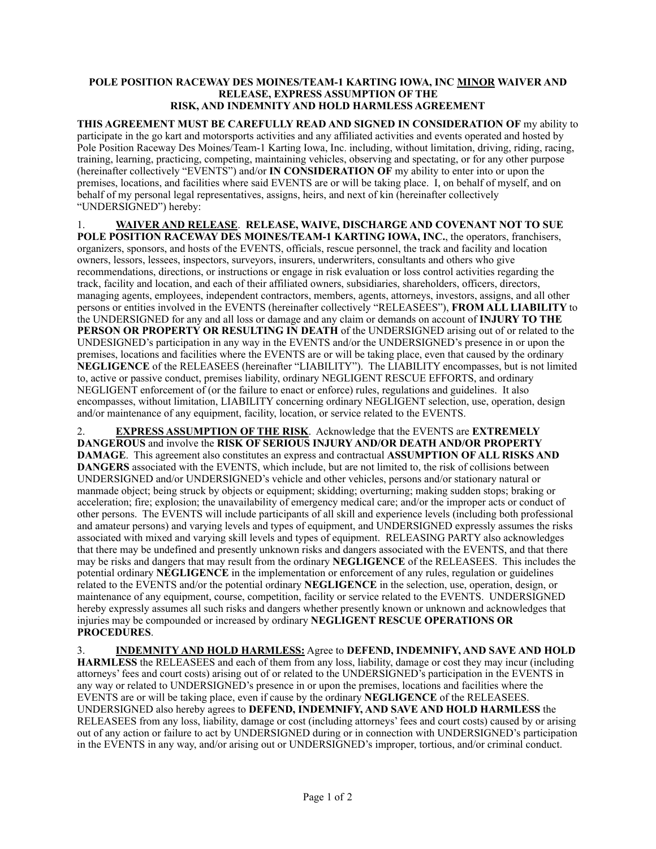## **POLE POSITION RACEWAY DES MOINES/TEAM-1 KARTING IOWA, INC MINOR WAIVER AND RELEASE, EXPRESS ASSUMPTION OF THE RISK, AND INDEMNITY AND HOLD HARMLESS AGREEMENT**

**THIS AGREEMENT MUST BE CAREFULLY READ AND SIGNED IN CONSIDERATION OF** my ability to participate in the go kart and motorsports activities and any affiliated activities and events operated and hosted by Pole Position Raceway Des Moines/Team-1 Karting Iowa, Inc. including, without limitation, driving, riding, racing, training, learning, practicing, competing, maintaining vehicles, observing and spectating, or for any other purpose (hereinafter collectively "EVENTS") and/or **IN CONSIDERATION OF** my ability to enter into or upon the premises, locations, and facilities where said EVENTS are or will be taking place. I, on behalf of myself, and on behalf of my personal legal representatives, assigns, heirs, and next of kin (hereinafter collectively "UNDERSIGNED") hereby:

1. **WAIVER AND RELEASE**. **RELEASE, WAIVE, DISCHARGE AND COVENANT NOT TO SUE POLE POSITION RACEWAY DES MOINES/TEAM-1 KARTING IOWA, INC.**, the operators, franchisers, organizers, sponsors, and hosts of the EVENTS, officials, rescue personnel, the track and facility and location owners, lessors, lessees, inspectors, surveyors, insurers, underwriters, consultants and others who give recommendations, directions, or instructions or engage in risk evaluation or loss control activities regarding the track, facility and location, and each of their affiliated owners, subsidiaries, shareholders, officers, directors, managing agents, employees, independent contractors, members, agents, attorneys, investors, assigns, and all other persons or entities involved in the EVENTS (hereinafter collectively "RELEASEES"), **FROM ALL LIABILITY** to the UNDERSIGNED for any and all loss or damage and any claim or demands on account of **INJURY TO THE PERSON OR PROPERTY OR RESULTING IN DEATH** of the UNDERSIGNED arising out of or related to the UNDESIGNED's participation in any way in the EVENTS and/or the UNDERSIGNED's presence in or upon the premises, locations and facilities where the EVENTS are or will be taking place, even that caused by the ordinary **NEGLIGENCE** of the RELEASEES (hereinafter "LIABILITY"). The LIABILITY encompasses, but is not limited to, active or passive conduct, premises liability, ordinary NEGLIGENT RESCUE EFFORTS, and ordinary NEGLIGENT enforcement of (or the failure to enact or enforce) rules, regulations and guidelines. It also encompasses, without limitation, LIABILITY concerning ordinary NEGLIGENT selection, use, operation, design and/or maintenance of any equipment, facility, location, or service related to the EVENTS.

2. **EXPRESS ASSUMPTION OF THE RISK**. Acknowledge that the EVENTS are **EXTREMELY DANGEROUS** and involve the **RISK OF SERIOUS INJURY AND/OR DEATH AND/OR PROPERTY DAMAGE**. This agreement also constitutes an express and contractual **ASSUMPTION OF ALL RISKS AND DANGERS** associated with the EVENTS, which include, but are not limited to, the risk of collisions between UNDERSIGNED and/or UNDERSIGNED's vehicle and other vehicles, persons and/or stationary natural or manmade object; being struck by objects or equipment; skidding; overturning; making sudden stops; braking or acceleration; fire; explosion; the unavailability of emergency medical care; and/or the improper acts or conduct of other persons. The EVENTS will include participants of all skill and experience levels (including both professional and amateur persons) and varying levels and types of equipment, and UNDERSIGNED expressly assumes the risks associated with mixed and varying skill levels and types of equipment. RELEASING PARTY also acknowledges that there may be undefined and presently unknown risks and dangers associated with the EVENTS, and that there may be risks and dangers that may result from the ordinary **NEGLIGENCE** of the RELEASEES. This includes the potential ordinary **NEGLIGENCE** in the implementation or enforcement of any rules, regulation or guidelines related to the EVENTS and/or the potential ordinary **NEGLIGENCE** in the selection, use, operation, design, or maintenance of any equipment, course, competition, facility or service related to the EVENTS. UNDERSIGNED hereby expressly assumes all such risks and dangers whether presently known or unknown and acknowledges that injuries may be compounded or increased by ordinary **NEGLIGENT RESCUE OPERATIONS OR PROCEDURES**.

3. **INDEMNITY AND HOLD HARMLESS:** Agree to **DEFEND, INDEMNIFY, AND SAVE AND HOLD HARMLESS** the RELEASEES and each of them from any loss, liability, damage or cost they may incur (including attorneys' fees and court costs) arising out of or related to the UNDERSIGNED's participation in the EVENTS in any way or related to UNDERSIGNED's presence in or upon the premises, locations and facilities where the EVENTS are or will be taking place, even if cause by the ordinary **NEGLIGENCE** of the RELEASEES. UNDERSIGNED also hereby agrees to **DEFEND, INDEMNIFY, AND SAVE AND HOLD HARMLESS** the RELEASEES from any loss, liability, damage or cost (including attorneys' fees and court costs) caused by or arising out of any action or failure to act by UNDERSIGNED during or in connection with UNDERSIGNED's participation in the EVENTS in any way, and/or arising out or UNDERSIGNED's improper, tortious, and/or criminal conduct.